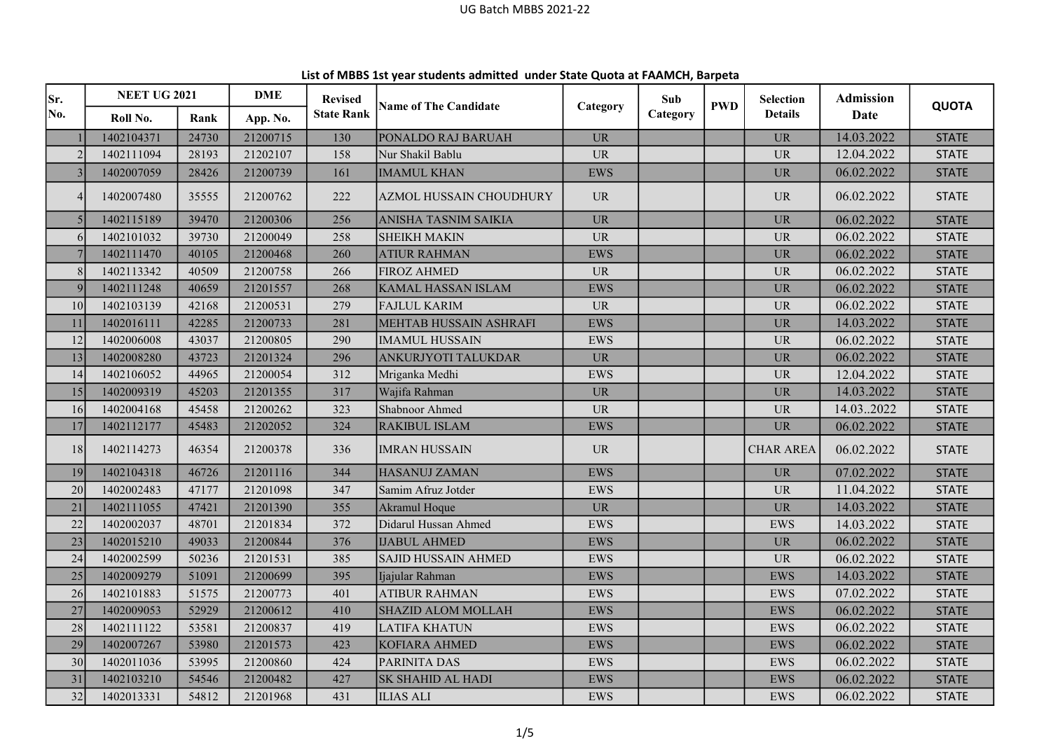| Sr.             | <b>NEET UG 2021</b> |       | <b>DME</b> | <b>Revised</b>    |                              |                                   | Sub      | <b>PWD</b> | <b>Selection</b>                  | <b>Admission</b> | <b>QUOTA</b> |
|-----------------|---------------------|-------|------------|-------------------|------------------------------|-----------------------------------|----------|------------|-----------------------------------|------------------|--------------|
| No.             | Roll No.            | Rank  | App. No.   | <b>State Rank</b> | <b>Name of The Candidate</b> | Category                          | Category |            | <b>Details</b>                    | Date             |              |
|                 | 1402104371          | 24730 | 21200715   | 130               | PONALDO RAJ BARUAH           | <b>UR</b>                         |          |            | <b>UR</b>                         | 14.03.2022       | <b>STATE</b> |
|                 | 1402111094          | 28193 | 21202107   | 158               | Nur Shakil Bablu             | <b>UR</b>                         |          |            | <b>UR</b>                         | 12.04.2022       | <b>STATE</b> |
|                 | 1402007059          | 28426 | 21200739   | 161               | <b>IMAMUL KHAN</b>           | <b>EWS</b>                        |          |            | <b>UR</b>                         | 06.02.2022       | <b>STATE</b> |
| 4               | 1402007480          | 35555 | 21200762   | 222               | AZMOL HUSSAIN CHOUDHURY      | <b>UR</b>                         |          |            | $\ensuremath{\mathsf{UR}}\xspace$ | 06.02.2022       | <b>STATE</b> |
|                 | 1402115189          | 39470 | 21200306   | 256               | ANISHA TASNIM SAIKIA         | <b>UR</b>                         |          |            | <b>UR</b>                         | 06.02.2022       | <b>STATE</b> |
| 6               | 1402101032          | 39730 | 21200049   | 258               | <b>SHEIKH MAKIN</b>          | $\ensuremath{\mathsf{UR}}\xspace$ |          |            | $\ensuremath{\mathrm{UR}}\xspace$ | 06.02.2022       | <b>STATE</b> |
|                 | 1402111470          | 40105 | 21200468   | 260               | <b>ATIUR RAHMAN</b>          | <b>EWS</b>                        |          |            | $\ensuremath{\mathsf{UR}}\xspace$ | 06.02.2022       | <b>STATE</b> |
| 8               | 1402113342          | 40509 | 21200758   | 266               | <b>FIROZ AHMED</b>           | <b>UR</b>                         |          |            | <b>UR</b>                         | 06.02.2022       | <b>STATE</b> |
| 9               | 1402111248          | 40659 | 21201557   | 268               | <b>KAMAL HASSAN ISLAM</b>    | <b>EWS</b>                        |          |            | $\ensuremath{\mathsf{UR}}\xspace$ | 06.02.2022       | <b>STATE</b> |
| 10              | 1402103139          | 42168 | 21200531   | 279               | <b>FAJLUL KARIM</b>          | <b>UR</b>                         |          |            | $\ensuremath{\mathrm{UR}}\xspace$ | 06.02.2022       | <b>STATE</b> |
| 11              | 1402016111          | 42285 | 21200733   | 281               | MEHTAB HUSSAIN ASHRAFI       | <b>EWS</b>                        |          |            | <b>UR</b>                         | 14.03.2022       | <b>STATE</b> |
| 12              | 1402006008          | 43037 | 21200805   | 290               | <b>IMAMUL HUSSAIN</b>        | <b>EWS</b>                        |          |            | <b>UR</b>                         | 06.02.2022       | <b>STATE</b> |
| 13              | 1402008280          | 43723 | 21201324   | 296               | ANKURJYOTI TALUKDAR          | <b>UR</b>                         |          |            | <b>UR</b>                         | 06.02.2022       | <b>STATE</b> |
| 14              | 1402106052          | 44965 | 21200054   | 312               | Mriganka Medhi               | EWS                               |          |            | <b>UR</b>                         | 12.04.2022       | <b>STATE</b> |
| 15              | 1402009319          | 45203 | 21201355   | 317               | Wajifa Rahman                | <b>UR</b>                         |          |            | <b>UR</b>                         | 14.03.2022       | <b>STATE</b> |
| 16              | 1402004168          | 45458 | 21200262   | 323               | Shabnoor Ahmed               | <b>UR</b>                         |          |            | <b>UR</b>                         | 14.032022        | <b>STATE</b> |
| 17              | 1402112177          | 45483 | 21202052   | 324               | RAKIBUL ISLAM                | <b>EWS</b>                        |          |            | <b>UR</b>                         | 06.02.2022       | <b>STATE</b> |
| 18              | 1402114273          | 46354 | 21200378   | 336               | <b>IMRAN HUSSAIN</b>         | <b>UR</b>                         |          |            | <b>CHAR AREA</b>                  | 06.02.2022       | <b>STATE</b> |
| 19              | 1402104318          | 46726 | 21201116   | 344               | <b>HASANUJ ZAMAN</b>         | <b>EWS</b>                        |          |            | <b>UR</b>                         | 07.02.2022       | <b>STATE</b> |
| 20 <sup>°</sup> | 1402002483          | 47177 | 21201098   | 347               | Samim Afruz Jotder           | <b>EWS</b>                        |          |            | <b>UR</b>                         | 11.04.2022       | <b>STATE</b> |
| 21              | 1402111055          | 47421 | 21201390   | 355               | Akramul Hoque                | <b>UR</b>                         |          |            | <b>UR</b>                         | 14.03.2022       | <b>STATE</b> |
| 22              | 1402002037          | 48701 | 21201834   | 372               | Didarul Hussan Ahmed         | <b>EWS</b>                        |          |            | EWS                               | 14.03.2022       | <b>STATE</b> |
| 23              | 1402015210          | 49033 | 21200844   | 376               | <b>IJABUL AHMED</b>          | <b>EWS</b>                        |          |            | <b>UR</b>                         | 06.02.2022       | <b>STATE</b> |
| 24              | 1402002599          | 50236 | 21201531   | 385               | <b>SAJID HUSSAIN AHMED</b>   | <b>EWS</b>                        |          |            | <b>UR</b>                         | 06.02.2022       | <b>STATE</b> |
| 25              | 1402009279          | 51091 | 21200699   | 395               | Ijajular Rahman              | <b>EWS</b>                        |          |            | <b>EWS</b>                        | 14.03.2022       | <b>STATE</b> |
| 26              | 1402101883          | 51575 | 21200773   | 401               | <b>ATIBUR RAHMAN</b>         | <b>EWS</b>                        |          |            | <b>EWS</b>                        | 07.02.2022       | <b>STATE</b> |
| 27              | 1402009053          | 52929 | 21200612   | 410               | SHAZID ALOM MOLLAH           | <b>EWS</b>                        |          |            | <b>EWS</b>                        | 06.02.2022       | <b>STATE</b> |
| 28              | 1402111122          | 53581 | 21200837   | 419               | <b>LATIFA KHATUN</b>         | <b>EWS</b>                        |          |            | <b>EWS</b>                        | 06.02.2022       | <b>STATE</b> |
| 29              | 1402007267          | 53980 | 21201573   | 423               | KOFIARA AHMED                | <b>EWS</b>                        |          |            | <b>EWS</b>                        | 06.02.2022       | <b>STATE</b> |
| 30 <sup>°</sup> | 1402011036          | 53995 | 21200860   | 424               | PARINITA DAS                 | <b>EWS</b>                        |          |            | EWS                               | 06.02.2022       | <b>STATE</b> |
| 31              | 1402103210          | 54546 | 21200482   | 427               | SK SHAHID AL HADI            | <b>EWS</b>                        |          |            | <b>EWS</b>                        | 06.02.2022       | <b>STATE</b> |
| 32              | 1402013331          | 54812 | 21201968   | 431               | <b>ILIAS ALI</b>             | <b>EWS</b>                        |          |            | EWS                               | 06.02.2022       | <b>STATE</b> |

List of MBBS 1st year students admitted under State Quota at FAAMCH, Barpeta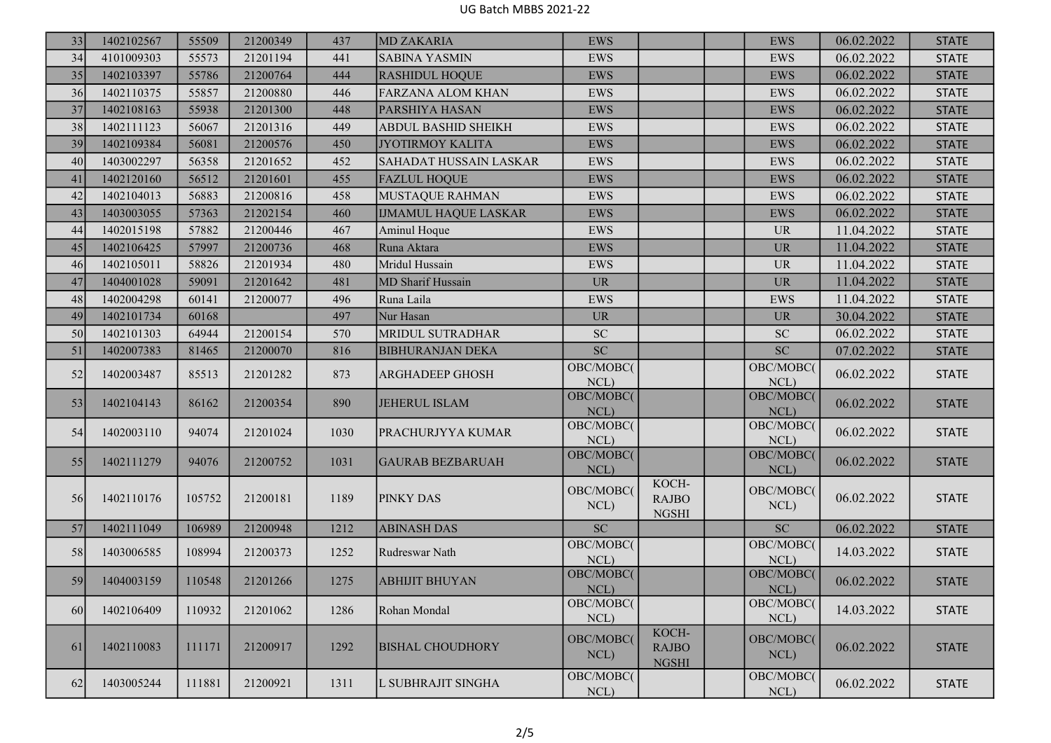## UG Batch MBBS 2021-22

| 33 | 1402102567 | 55509  | 21200349 | 437  | <b>MD ZAKARIA</b>           | <b>EWS</b>                 |                                       | <b>EWS</b>           | 06.02.2022 | <b>STATE</b> |
|----|------------|--------|----------|------|-----------------------------|----------------------------|---------------------------------------|----------------------|------------|--------------|
| 34 | 4101009303 | 55573  | 21201194 | 441  | <b>SABINA YASMIN</b>        | <b>EWS</b>                 |                                       | <b>EWS</b>           | 06.02.2022 | <b>STATE</b> |
| 35 | 1402103397 | 55786  | 21200764 | 444  | <b>RASHIDUL HOQUE</b>       | <b>EWS</b>                 |                                       | <b>EWS</b>           | 06.02.2022 | <b>STATE</b> |
| 36 | 1402110375 | 55857  | 21200880 | 446  | <b>FARZANA ALOM KHAN</b>    | EWS                        |                                       | <b>EWS</b>           | 06.02.2022 | <b>STATE</b> |
| 37 | 1402108163 | 55938  | 21201300 | 448  | PARSHIYA HASAN              | <b>EWS</b>                 |                                       | <b>EWS</b>           | 06.02.2022 | <b>STATE</b> |
| 38 | 1402111123 | 56067  | 21201316 | 449  | <b>ABDUL BASHID SHEIKH</b>  | <b>EWS</b>                 |                                       | <b>EWS</b>           | 06.02.2022 | <b>STATE</b> |
| 39 | 1402109384 | 56081  | 21200576 | 450  | <b>JYOTIRMOY KALITA</b>     | <b>EWS</b>                 |                                       | <b>EWS</b>           | 06.02.2022 | <b>STATE</b> |
| 40 | 1403002297 | 56358  | 21201652 | 452  | SAHADAT HUSSAIN LASKAR      | EWS                        |                                       | EWS                  | 06.02.2022 | <b>STATE</b> |
| 41 | 1402120160 | 56512  | 21201601 | 455  | <b>FAZLUL HOQUE</b>         | <b>EWS</b>                 |                                       | <b>EWS</b>           | 06.02.2022 | <b>STATE</b> |
| 42 | 1402104013 | 56883  | 21200816 | 458  | <b>MUSTAQUE RAHMAN</b>      | <b>EWS</b>                 |                                       | <b>EWS</b>           | 06.02.2022 | <b>STATE</b> |
| 43 | 1403003055 | 57363  | 21202154 | 460  | <b>IJMAMUL HAQUE LASKAR</b> | <b>EWS</b>                 |                                       | <b>EWS</b>           | 06.02.2022 | <b>STATE</b> |
| 44 | 1402015198 | 57882  | 21200446 | 467  | Aminul Hoque                | <b>EWS</b>                 |                                       | <b>UR</b>            | 11.04.2022 | <b>STATE</b> |
| 45 | 1402106425 | 57997  | 21200736 | 468  | Runa Aktara                 | <b>EWS</b>                 |                                       | <b>UR</b>            | 11.04.2022 | <b>STATE</b> |
| 46 | 1402105011 | 58826  | 21201934 | 480  | Mridul Hussain              | <b>EWS</b>                 |                                       | <b>UR</b>            | 11.04.2022 | <b>STATE</b> |
| 47 | 1404001028 | 59091  | 21201642 | 481  | MD Sharif Hussain           | <b>UR</b>                  |                                       | <b>UR</b>            | 11.04.2022 | <b>STATE</b> |
| 48 | 1402004298 | 60141  | 21200077 | 496  | Runa Laila                  | <b>EWS</b>                 |                                       | <b>EWS</b>           | 11.04.2022 | <b>STATE</b> |
| 49 | 1402101734 | 60168  |          | 497  | Nur Hasan                   | <b>UR</b>                  |                                       | <b>UR</b>            | 30.04.2022 | <b>STATE</b> |
| 50 | 1402101303 | 64944  | 21200154 | 570  | MRIDUL SUTRADHAR            | ${\rm SC}$                 |                                       | ${\rm SC}$           | 06.02.2022 | <b>STATE</b> |
| 51 | 1402007383 | 81465  | 21200070 | 816  | <b>BIBHURANJAN DEKA</b>     | SC                         |                                       | SC                   | 07.02.2022 | <b>STATE</b> |
| 52 | 1402003487 | 85513  | 21201282 | 873  | ARGHADEEP GHOSH             | OBC/MOBC(<br>NCL)          |                                       | OBC/MOBC(<br>$NCL$ ) | 06.02.2022 | <b>STATE</b> |
| 53 | 1402104143 | 86162  | 21200354 | 890  | <b>JEHERUL ISLAM</b>        | OBC/MOBC(<br>NCL)          |                                       | OBC/MOBC(<br>NCL)    | 06.02.2022 | <b>STATE</b> |
| 54 | 1402003110 | 94074  | 21201024 | 1030 | PRACHURJYYA KUMAR           | OBC/MOBC(<br>NCL)          |                                       | OBC/MOBC(<br>NCL)    | 06.02.2022 | <b>STATE</b> |
| 55 | 1402111279 | 94076  | 21200752 | 1031 | <b>GAURAB BEZBARUAH</b>     | OBC/MOBC(<br>NCL)          |                                       | OBC/MOBC(<br>NCL)    | 06.02.2022 | <b>STATE</b> |
| 56 | 1402110176 | 105752 | 21200181 | 1189 | PINKY DAS                   | OBC/MOBC(<br>NCL)          | KOCH-<br><b>RAJBO</b><br><b>NGSHI</b> | OBC/MOBC(<br>NCL)    | 06.02.2022 | <b>STATE</b> |
| 57 | 1402111049 | 106989 | 21200948 | 1212 | <b>ABINASH DAS</b>          | $\ensuremath{\mathbf{SC}}$ |                                       | ${\rm SC}$           | 06.02.2022 | <b>STATE</b> |
| 58 | 1403006585 | 108994 | 21200373 | 1252 | Rudreswar Nath              | OBC/MOBC(<br>NCL)          |                                       | OBC/MOBC(<br>NCL)    | 14.03.2022 | <b>STATE</b> |
| 59 | 1404003159 | 110548 | 21201266 | 1275 | <b>ABHIJIT BHUYAN</b>       | OBC/MOBC(<br>NCL)          |                                       | OBC/MOBC(<br>NCL)    | 06.02.2022 | <b>STATE</b> |
| 60 | 1402106409 | 110932 | 21201062 | 1286 | Rohan Mondal                | OBC/MOBC(<br>$NCL$ )       |                                       | OBC/MOBC(<br>NCL)    | 14.03.2022 | <b>STATE</b> |
| 61 | 1402110083 | 111171 | 21200917 | 1292 | <b>BISHAL CHOUDHORY</b>     | OBC/MOBC(<br>$NCL$ )       | KOCH-<br><b>RAJBO</b><br><b>NGSHI</b> | OBC/MOBC(<br>$NCL$ ) | 06.02.2022 | <b>STATE</b> |
| 62 | 1403005244 | 111881 | 21200921 | 1311 | L SUBHRAJIT SINGHA          | OBC/MOBC(<br>NCL)          |                                       | OBC/MOBC(<br>NCL)    | 06.02.2022 | <b>STATE</b> |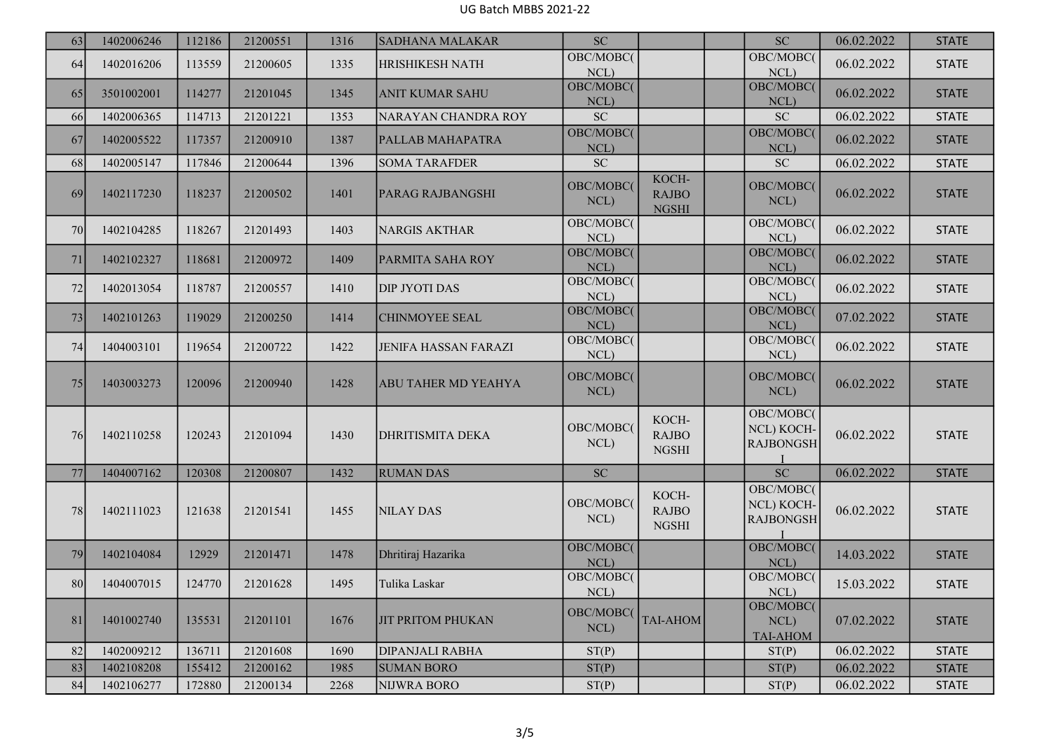## UG Batch MBBS 2021-22

| 63 | 1402006246 | 112186 | 21200551 | 1316 | <b>SADHANA MALAKAR</b>      | SC                |                                       | SC                                          | 06.02.2022 | <b>STATE</b> |
|----|------------|--------|----------|------|-----------------------------|-------------------|---------------------------------------|---------------------------------------------|------------|--------------|
| 64 | 1402016206 | 113559 | 21200605 | 1335 | <b>HRISHIKESH NATH</b>      | OBC/MOBC(<br>NCL) |                                       | OBC/MOBC(<br>NCL)                           | 06.02.2022 | <b>STATE</b> |
| 65 | 3501002001 | 114277 | 21201045 | 1345 | <b>ANIT KUMAR SAHU</b>      | OBC/MOBC(<br>NCL) |                                       | OBC/MOBC(<br>NCL)                           | 06.02.2022 | <b>STATE</b> |
| 66 | 1402006365 | 114713 | 21201221 | 1353 | NARAYAN CHANDRA ROY         | ${\rm SC}$        |                                       | <b>SC</b>                                   | 06.02.2022 | <b>STATE</b> |
| 67 | 1402005522 | 117357 | 21200910 | 1387 | PALLAB MAHAPATRA            | OBC/MOBC(<br>NCL) |                                       | OBC/MOBC(<br>NCL)                           | 06.02.2022 | <b>STATE</b> |
| 68 | 1402005147 | 117846 | 21200644 | 1396 | <b>SOMA TARAFDER</b>        | <b>SC</b>         |                                       | SC                                          | 06.02.2022 | <b>STATE</b> |
| 69 | 1402117230 | 118237 | 21200502 | 1401 | <b>PARAG RAJBANGSHI</b>     | OBC/MOBC(<br>NCL) | KOCH-<br><b>RAJBO</b><br><b>NGSHI</b> | OBC/MOBC(<br>NCL)                           | 06.02.2022 | <b>STATE</b> |
| 70 | 1402104285 | 118267 | 21201493 | 1403 | NARGIS AKTHAR               | OBC/MOBC(<br>NCL) |                                       | OBC/MOBC(<br>NCL)                           | 06.02.2022 | <b>STATE</b> |
| 71 | 1402102327 | 118681 | 21200972 | 1409 | <b>PARMITA SAHA ROY</b>     | OBC/MOBC(<br>NCL) |                                       | OBC/MOBC(<br>NCL)                           | 06.02.2022 | <b>STATE</b> |
| 72 | 1402013054 | 118787 | 21200557 | 1410 | <b>DIP JYOTI DAS</b>        | OBC/MOBC(<br>NCL) |                                       | OBC/MOBC(<br>NCL)                           | 06.02.2022 | <b>STATE</b> |
| 73 | 1402101263 | 119029 | 21200250 | 1414 | <b>CHINMOYEE SEAL</b>       | OBC/MOBC(<br>NCL) |                                       | OBC/MOBC(<br>NCL)                           | 07.02.2022 | <b>STATE</b> |
| 74 | 1404003101 | 119654 | 21200722 | 1422 | <b>JENIFA HASSAN FARAZI</b> | OBC/MOBC(<br>NCL) |                                       | OBC/MOBC(<br>NCL)                           | 06.02.2022 | <b>STATE</b> |
| 75 | 1403003273 | 120096 | 21200940 | 1428 | <b>ABU TAHER MD YEAHYA</b>  | OBC/MOBC(<br>NCL) |                                       | OBC/MOBC(<br>NCL)                           | 06.02.2022 | <b>STATE</b> |
| 76 | 1402110258 | 120243 | 21201094 | 1430 | <b>DHRITISMITA DEKA</b>     | OBC/MOBC(<br>NCL) | KOCH-<br><b>RAJBO</b><br><b>NGSHI</b> | OBC/MOBC(<br>NCL) KOCH-<br><b>RAJBONGSH</b> | 06.02.2022 | <b>STATE</b> |
| 77 | 1404007162 | 120308 | 21200807 | 1432 | <b>RUMAN DAS</b>            | $\rm SC$          |                                       | <b>SC</b>                                   | 06.02.2022 | <b>STATE</b> |
| 78 | 1402111023 | 121638 | 21201541 | 1455 | NILAY DAS                   | OBC/MOBC(<br>NCL) | KOCH-<br>RAJBO<br><b>NGSHI</b>        | OBC/MOBC(<br>NCL) KOCH-<br><b>RAJBONGSH</b> | 06.02.2022 | <b>STATE</b> |
| 79 | 1402104084 | 12929  | 21201471 | 1478 | Dhritiraj Hazarika          | OBC/MOBC(<br>NCL) |                                       | OBC/MOBC(<br>NCL)                           | 14.03.2022 | <b>STATE</b> |
| 80 | 1404007015 | 124770 | 21201628 | 1495 | Tulika Laskar               | OBC/MOBC(<br>NCL) |                                       | OBC/MOBC(<br>NCL)                           | 15.03.2022 | <b>STATE</b> |
| 81 | 1401002740 | 135531 | 21201101 | 1676 | <b>JIT PRITOM PHUKAN</b>    | OBC/MOBC(<br>NCL) | <b>TAI-AHOM</b>                       | OBC/MOBC(<br>NCL)<br>TAI-AHOM               | 07.02.2022 | <b>STATE</b> |
| 82 | 1402009212 | 136711 | 21201608 | 1690 | <b>DIPANJALI RABHA</b>      | ST(P)             |                                       | ST(P)                                       | 06.02.2022 | <b>STATE</b> |
| 83 | 1402108208 | 155412 | 21200162 | 1985 | <b>SUMAN BORO</b>           | ST(P)             |                                       | ST(P)                                       | 06.02.2022 | <b>STATE</b> |
| 84 | 1402106277 | 172880 | 21200134 | 2268 | NIJWRA BORO                 | ST(P)             |                                       | ST(P)                                       | 06.02.2022 | <b>STATE</b> |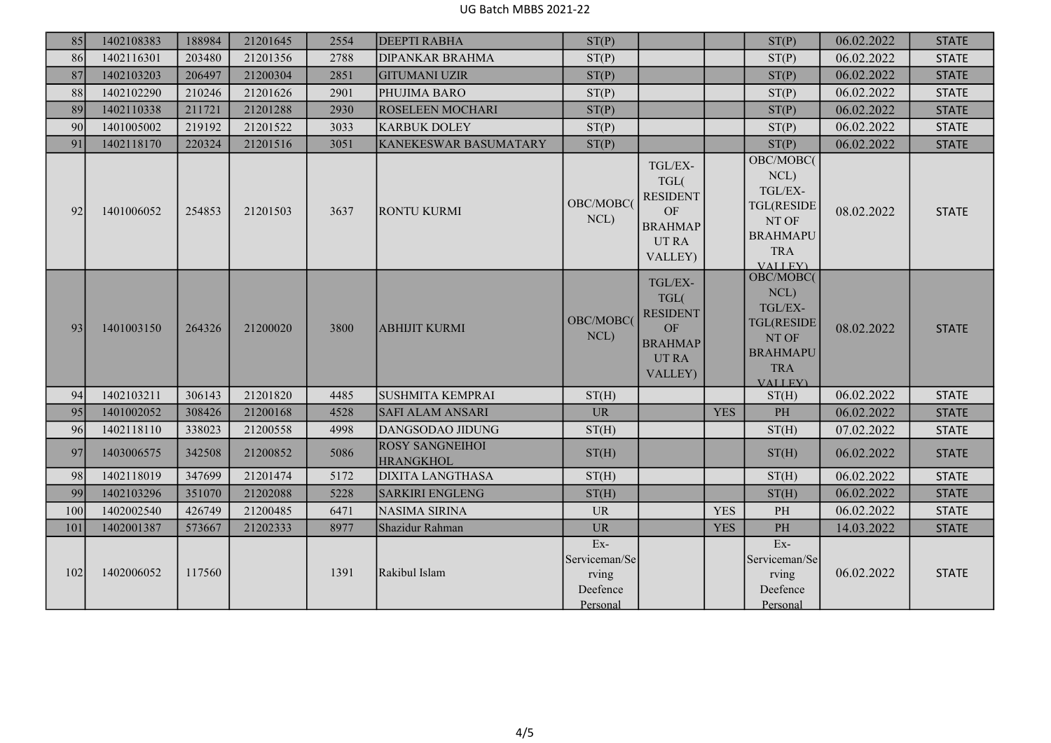| 85  | 1402108383 | 188984 | 21201645 | 2554 | <b>DEEPTI RABHA</b>                        | ST(P)                                                   |                                                                                            |            | ST(P)                                                                                                          | 06.02.2022 | <b>STATE</b> |
|-----|------------|--------|----------|------|--------------------------------------------|---------------------------------------------------------|--------------------------------------------------------------------------------------------|------------|----------------------------------------------------------------------------------------------------------------|------------|--------------|
| 86  | 1402116301 | 203480 | 21201356 | 2788 | <b>DIPANKAR BRAHMA</b>                     | ST(P)                                                   |                                                                                            |            | ST(P)                                                                                                          | 06.02.2022 | <b>STATE</b> |
| 87  | 1402103203 | 206497 | 21200304 | 2851 | <b>GITUMANI UZIR</b>                       | ST(P)                                                   |                                                                                            |            | ST(P)                                                                                                          | 06.02.2022 | <b>STATE</b> |
| 88  | 1402102290 | 210246 | 21201626 | 2901 | PHUJIMA BARO                               | ST(P)                                                   |                                                                                            |            | ST(P)                                                                                                          | 06.02.2022 | <b>STATE</b> |
| 89  | 1402110338 | 211721 | 21201288 | 2930 | ROSELEEN MOCHARI                           | ST(P)                                                   |                                                                                            |            | ST(P)                                                                                                          | 06.02.2022 | <b>STATE</b> |
| 90  | 1401005002 | 219192 | 21201522 | 3033 | <b>KARBUK DOLEY</b>                        | ST(P)                                                   |                                                                                            |            | ST(P)                                                                                                          | 06.02.2022 | <b>STATE</b> |
| 91  | 1402118170 | 220324 | 21201516 | 3051 | <b>KANEKESWAR BASUMATARY</b>               | ST(P)                                                   |                                                                                            |            | ST(P)                                                                                                          | 06.02.2022 | <b>STATE</b> |
| 92  | 1401006052 | 254853 | 21201503 | 3637 | <b>RONTU KURMI</b>                         | OBC/MOBC(<br>NCL)                                       | TGL/EX-<br>TGL(<br><b>RESIDENT</b><br>$\rm OF$<br><b>BRAHMAP</b><br><b>UTRA</b><br>VALLEY) |            | OBC/MOBC(<br>NCL)<br>TGL/EX-<br><b>TGL(RESIDE</b><br>NT OF<br><b>BRAHMAPU</b><br><b>TRA</b><br><b>VALLEY</b> ) | 08.02.2022 | <b>STATE</b> |
| 93  | 1401003150 | 264326 | 21200020 | 3800 | <b>ABHIJIT KURMI</b>                       | OBC/MOBC(<br>NCL)                                       | TGL/EX-<br>TGL(<br><b>RESIDENT</b><br>OF<br><b>BRAHMAP</b><br><b>UTRA</b><br>VALLEY)       |            | OBC/MOBC(<br>NCL)<br>TGL/EX-<br><b>TGL(RESIDE</b><br>NT OF<br><b>BRAHMAPU</b><br><b>TRA</b><br><b>VALLEY</b> ) | 08.02.2022 | <b>STATE</b> |
| 94  | 1402103211 | 306143 | 21201820 | 4485 | <b>SUSHMITA KEMPRAI</b>                    | ST(H)                                                   |                                                                                            |            | ST(H)                                                                                                          | 06.02.2022 | <b>STATE</b> |
| 95  | 1401002052 | 308426 | 21200168 | 4528 | <b>SAFI ALAM ANSARI</b>                    | <b>UR</b>                                               |                                                                                            | <b>YES</b> | PH                                                                                                             | 06.02.2022 | <b>STATE</b> |
| 96  | 1402118110 | 338023 | 21200558 | 4998 | DANGSODAO JIDUNG                           | ST(H)                                                   |                                                                                            |            | ST(H)                                                                                                          | 07.02.2022 | <b>STATE</b> |
| 97  | 1403006575 | 342508 | 21200852 | 5086 | <b>ROSY SANGNEIHOI</b><br><b>HRANGKHOL</b> | ST(H)                                                   |                                                                                            |            | ST(H)                                                                                                          | 06.02.2022 | <b>STATE</b> |
| 98  | 1402118019 | 347699 | 21201474 | 5172 | <b>DIXITA LANGTHASA</b>                    | ST(H)                                                   |                                                                                            |            | ST(H)                                                                                                          | 06.02.2022 | <b>STATE</b> |
| 99  | 1402103296 | 351070 | 21202088 | 5228 | <b>SARKIRI ENGLENG</b>                     | ST(H)                                                   |                                                                                            |            | ST(H)                                                                                                          | 06.02.2022 | <b>STATE</b> |
| 100 | 1402002540 | 426749 | 21200485 | 6471 | NASIMA SIRINA                              | <b>UR</b>                                               |                                                                                            | <b>YES</b> | $\rm PH$                                                                                                       | 06.02.2022 | <b>STATE</b> |
| 101 | 1402001387 | 573667 | 21202333 | 8977 | Shazidur Rahman                            | <b>UR</b>                                               |                                                                                            | <b>YES</b> | PH                                                                                                             | 14.03.2022 | <b>STATE</b> |
| 102 | 1402006052 | 117560 |          | 1391 | Rakibul Islam                              | $Ex-$<br>Serviceman/Se<br>rving<br>Deefence<br>Personal |                                                                                            |            | $Ex-$<br>Serviceman/Se<br>rving<br>Deefence<br>Personal                                                        | 06.02.2022 | <b>STATE</b> |